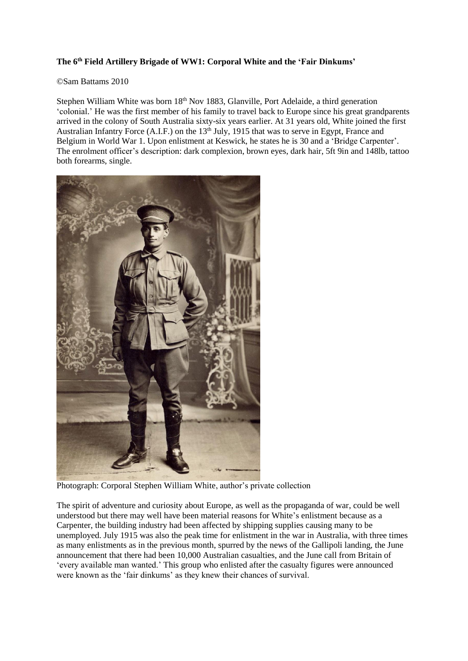## **The 6th Field Artillery Brigade of WW1: Corporal White and the 'Fair Dinkums'**

## ©Sam Battams 2010

Stephen William White was born 18<sup>th</sup> Nov 1883, Glanville, Port Adelaide, a third generation 'colonial.' He was the first member of his family to travel back to Europe since his great grandparents arrived in the colony of South Australia sixty-six years earlier. At 31 years old, White joined the first Australian Infantry Force (A.I.F.) on the 13<sup>th</sup> July, 1915 that was to serve in Egypt, France and Belgium in World War 1. Upon enlistment at Keswick, he states he is 30 and a 'Bridge Carpenter'. The enrolment officer's description: dark complexion, brown eyes, dark hair, 5ft 9in and 148lb, tattoo both forearms, single.



Photograph: Corporal Stephen William White, author's private collection

The spirit of adventure and curiosity about Europe, as well as the propaganda of war, could be well understood but there may well have been material reasons for White's enlistment because as a Carpenter, the building industry had been affected by shipping supplies causing many to be unemployed. July 1915 was also the peak time for enlistment in the war in Australia, with three times as many enlistments as in the previous month, spurred by the news of the Gallipoli landing, the June announcement that there had been 10,000 Australian casualties, and the June call from Britain of 'every available man wanted.' This group who enlisted after the casualty figures were announced were known as the 'fair dinkums' as they knew their chances of survival.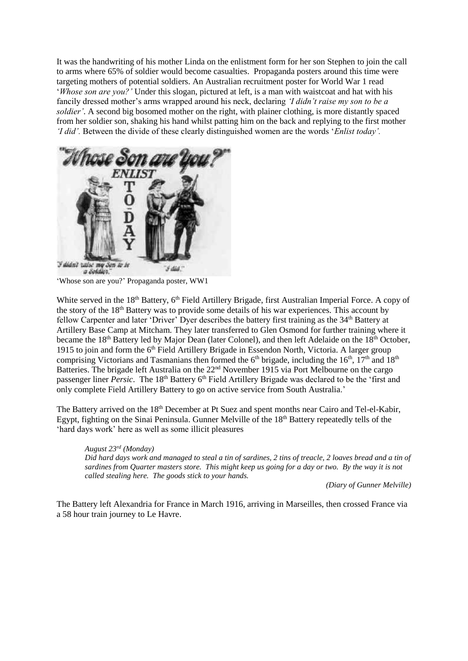It was the handwriting of his mother Linda on the enlistment form for her son Stephen to join the call to arms where 65% of soldier would become casualties. Propaganda posters around this time were targeting mothers of potential soldiers. An Australian recruitment poster for World War 1 read '*Whose son are you?'* Under this slogan, pictured at left, is a man with waistcoat and hat with his fancily dressed mother's arms wrapped around his neck, declaring *'I didn't raise my son to be a soldier'*. A second big bosomed mother on the right, with plainer clothing, is more distantly spaced from her soldier son, shaking his hand whilst patting him on the back and replying to the first mother *'I did'.* Between the divide of these clearly distinguished women are the words '*Enlist today'.*



a Soldier. 'Whose son are you?' Propaganda poster, WW1

White served in the 18<sup>th</sup> Battery, 6<sup>th</sup> Field Artillery Brigade, first Australian Imperial Force. A copy of the story of the 18<sup>th</sup> Battery was to provide some details of his war experiences. This account by fellow Carpenter and later 'Driver' Dyer describes the battery first training as the 34<sup>th</sup> Battery at Artillery Base Camp at Mitcham. They later transferred to Glen Osmond for further training where it became the 18<sup>th</sup> Battery led by Major Dean (later Colonel), and then left Adelaide on the 18<sup>th</sup> October, 1915 to join and form the 6th Field Artillery Brigade in Essendon North, Victoria. A larger group comprising Victorians and Tasmanians then formed the  $6<sup>th</sup>$  brigade, including the  $16<sup>th</sup>$ ,  $17<sup>th</sup>$  and  $18<sup>th</sup>$ Batteries. The brigade left Australia on the 22<sup>nd</sup> November 1915 via Port Melbourne on the cargo passenger liner *Persic*. The 18<sup>th</sup> Battery 6<sup>th</sup> Field Artillery Brigade was declared to be the 'first and only complete Field Artillery Battery to go on active service from South Australia.'

The Battery arrived on the 18<sup>th</sup> December at Pt Suez and spent months near Cairo and Tel-el-Kabir, Egypt, fighting on the Sinai Peninsula. Gunner Melville of the 18<sup>th</sup> Battery repeatedly tells of the 'hard days work' here as well as some illicit pleasures

*August 23rd (Monday) Did hard days work and managed to steal a tin of sardines, 2 tins of treacle, 2 loaves bread and a tin of sardines from Quarter masters store. This might keep us going for a day or two. By the way it is not called stealing here. The goods stick to your hands.*

*(Diary of Gunner Melville)*

The Battery left Alexandria for France in March 1916, arriving in Marseilles, then crossed France via a 58 hour train journey to Le Havre.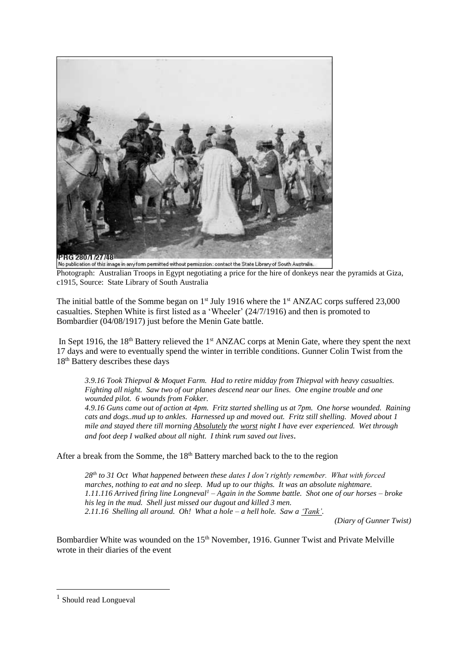

No publication of this image in any form permitted without permission: contact the State Library of South Australia. Photograph: Australian Troops in Egypt negotiating a price for the hire of donkeys near the pyramids at Giza, c1915, Source: State Library of South Australia

The initial battle of the Somme began on  $1<sup>st</sup>$  July 1916 where the  $1<sup>st</sup>$  ANZAC corps suffered 23,000 casualties. Stephen White is first listed as a 'Wheeler' (24/7/1916) and then is promoted to Bombardier (04/08/1917) just before the Menin Gate battle.

In Sept 1916, the  $18<sup>th</sup>$  Battery relieved the  $1<sup>st</sup>$  ANZAC corps at Menin Gate, where they spent the next 17 days and were to eventually spend the winter in terrible conditions. Gunner Colin Twist from the 18th Battery describes these days

*3.9.16 Took Thiepval & Moquet Farm. Had to retire midday from Thiepval with heavy casualties. Fighting all night. Saw two of our planes descend near our lines. One engine trouble and one wounded pilot. 6 wounds from Fokker. 4.9.16 Guns came out of action at 4pm. Fritz started shelling us at 7pm. One horse wounded. Raining* 

*cats and dogs..mud up to ankles. Harnessed up and moved out. Fritz still shelling. Moved about 1 mile and stayed there till morning Absolutely the worst night I have ever experienced. Wet through and foot deep I walked about all night. I think rum saved out lives.*

After a break from the Somme, the  $18<sup>th</sup>$  Battery marched back to the to the region

*28th to 31 Oct What happened between these dates I don't rightly remember. What with forced marches, nothing to eat and no sleep. Mud up to our thighs. It was an absolute nightmare. 1.11.116 Arrived firing line Longneval<sup>1</sup> – Again in the Somme battle. Shot one of our horses – broke his leg in the mud. Shell just missed our dugout and killed 3 men. 2.11.16 Shelling all around. Oh! What a hole – a hell hole. Saw a 'Tank'.*

*(Diary of Gunner Twist)*

Bombardier White was wounded on the 15<sup>th</sup> November, 1916. Gunner Twist and Private Melville wrote in their diaries of the event

1

<sup>&</sup>lt;sup>1</sup> Should read Longueval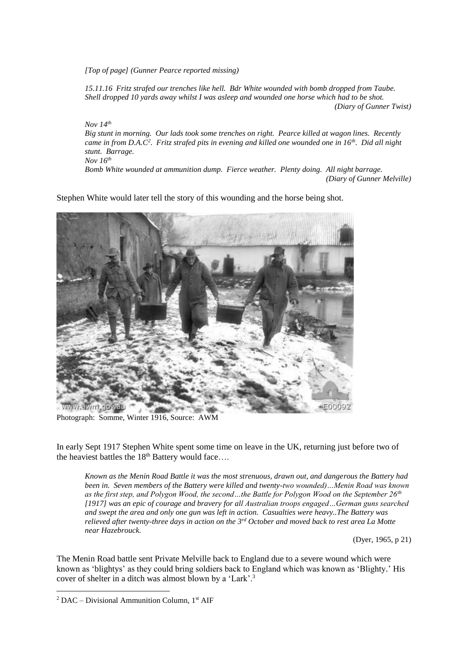*[Top of page] (Gunner Pearce reported missing)*

*15.11.16 Fritz strafed our trenches like hell. Bdr White wounded with bomb dropped from Taube. Shell dropped 10 yards away whilst I was asleep and wounded one horse which had to be shot. (Diary of Gunner Twist)*

*Nov 14th*

*Big stunt in morning. Our lads took some trenches on right. Pearce killed at wagon lines. Recently came in from D.A.C<sup>2</sup> . Fritz strafed pits in evening and killed one wounded one in 16th. Did all night stunt. Barrage. Nov 16th*

*Bomb White wounded at ammunition dump. Fierce weather. Plenty doing. All night barrage. (Diary of Gunner Melville)*

Stephen White would later tell the story of this wounding and the horse being shot.



Photograph: Somme, Winter 1916, Source: AWM

In early Sept 1917 Stephen White spent some time on leave in the UK, returning just before two of the heaviest battles the  $18<sup>th</sup>$  Battery would face....

*Known as the Menin Road Battle it was the most strenuous, drawn out, and dangerous the Battery had been in. Seven members of the Battery were killed and twenty-two wounded)…Menin Road was known as the first step, and Polygon Wood, the second…the Battle for Polygon Wood on the September 26th [1917] was an epic of courage and bravery for all Australian troops engaged…German guns searched and swept the area and only one gun was left in action. Casualties were heavy..The Battery was relieved after twenty-three days in action on the 3rd October and moved back to rest area La Motte near Hazebrouck.* 

(Dyer, 1965, p 21)

The Menin Road battle sent Private Melville back to England due to a severe wound which were known as 'blightys' as they could bring soldiers back to England which was known as 'Blighty.' His cover of shelter in a ditch was almost blown by a 'Lark'.<sup>3</sup>

1

<sup>&</sup>lt;sup>2</sup> DAC – Divisional Ammunition Column,  $1<sup>st</sup>$  AIF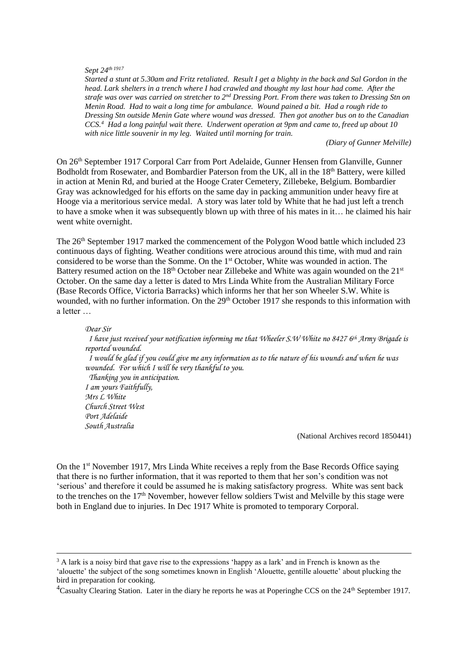## *Sept 24th <sup>1917</sup>*

<u>.</u>

*Started a stunt at 5.30am and Fritz retaliated. Result I get a blighty in the back and Sal Gordon in the head. Lark shelters in a trench where I had crawled and thought my last hour had come. After the strafe was over was carried on stretcher to 2nd Dressing Port. From there was taken to Dressing Stn on Menin Road. Had to wait a long time for ambulance. Wound pained a bit. Had a rough ride to Dressing Stn outside Menin Gate where wound was dressed. Then got another bus on to the Canadian CCS.<sup>4</sup> Had a long painful wait there. Underwent operation at 9pm and came to, freed up about 10 with nice little souvenir in my leg. Waited until morning for train.*

*(Diary of Gunner Melville)*

On 26th September 1917 Corporal Carr from Port Adelaide, Gunner Hensen from Glanville, Gunner Bodholdt from Rosewater, and Bombardier Paterson from the UK, all in the 18<sup>th</sup> Battery, were killed in action at Menin Rd, and buried at the Hooge Crater Cemetery, Zillebeke, Belgium. Bombardier Gray was acknowledged for his efforts on the same day in packing ammunition under heavy fire at Hooge via a meritorious service medal. A story was later told by White that he had just left a trench to have a smoke when it was subsequently blown up with three of his mates in it… he claimed his hair went white overnight.

The 26<sup>th</sup> September 1917 marked the commencement of the Polygon Wood battle which included 23 continuous days of fighting. Weather conditions were atrocious around this time, with mud and rain considered to be worse than the Somme. On the 1<sup>st</sup> October, White was wounded in action. The Battery resumed action on the  $18<sup>th</sup>$  October near Zillebeke and White was again wounded on the  $21<sup>st</sup>$ October. On the same day a letter is dated to Mrs Linda White from the Australian Military Force (Base Records Office, Victoria Barracks) which informs her that her son Wheeler S.W. White is wounded, with no further information. On the 29<sup>th</sup> October 1917 she responds to this information with a letter …

*Dear Sir I have just received your notification informing me that Wheeler S.W White no 8427 6th Army Brigade is reported wounded. I would be glad if you could give me any information as to the nature of his wounds and when he was wounded. For which I will be very thankful to you. Thanking you in anticipation. I am yours Faithfully, Mrs L White Church Street West Port Adelaide South Australia* 

(National Archives record 1850441)

On the 1st November 1917, Mrs Linda White receives a reply from the Base Records Office saying that there is no further information, that it was reported to them that her son's condition was not 'serious' and therefore it could be assumed he is making satisfactory progress. White was sent back to the trenches on the  $17<sup>th</sup>$  November, however fellow soldiers Twist and Melville by this stage were both in England due to injuries. In Dec 1917 White is promoted to temporary Corporal.

<sup>3</sup> A lark is a noisy bird that gave rise to the expressions 'happy as a lark' and in French is known as the 'alouette' the subject of the song sometimes known in English 'Alouette, gentille alouette' about plucking the bird in preparation for cooking.

<sup>4</sup>Casualty Clearing Station. Later in the diary he reports he was at Poperinghe CCS on the  $24<sup>th</sup>$  September 1917.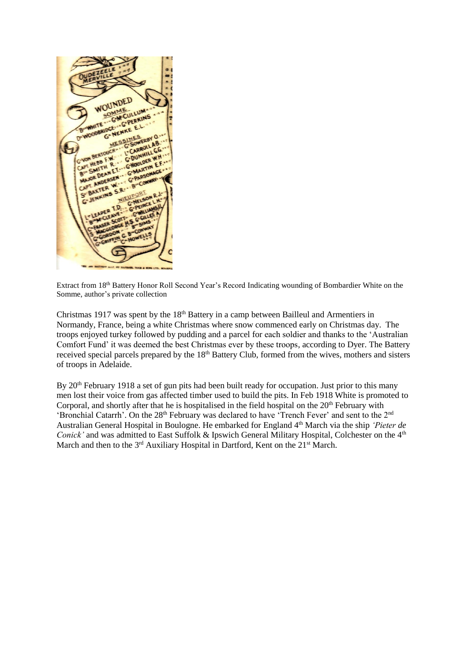

Extract from 18<sup>th</sup> Battery Honor Roll Second Year's Record Indicating wounding of Bombardier White on the Somme, author's private collection

Christmas 1917 was spent by the 18<sup>th</sup> Battery in a camp between Bailleul and Armentiers in Normandy, France, being a white Christmas where snow commenced early on Christmas day. The troops enjoyed turkey followed by pudding and a parcel for each soldier and thanks to the 'Australian Comfort Fund' it was deemed the best Christmas ever by these troops, according to Dyer. The Battery received special parcels prepared by the 18<sup>th</sup> Battery Club, formed from the wives, mothers and sisters of troops in Adelaide.

By 20<sup>th</sup> February 1918 a set of gun pits had been built ready for occupation. Just prior to this many men lost their voice from gas affected timber used to build the pits. In Feb 1918 White is promoted to Corporal, and shortly after that he is hospitalised in the field hospital on the  $20<sup>th</sup>$  February with 'Bronchial Catarrh'. On the 28<sup>th</sup> February was declared to have 'Trench Fever' and sent to the 2<sup>nd</sup> Australian General Hospital in Boulogne. He embarked for England 4th March via the ship *'Pieter de Conick'* and was admitted to East Suffolk & Ipswich General Military Hospital, Colchester on the 4<sup>th</sup> March and then to the  $3<sup>rd</sup>$  Auxiliary Hospital in Dartford, Kent on the  $21<sup>st</sup>$  March.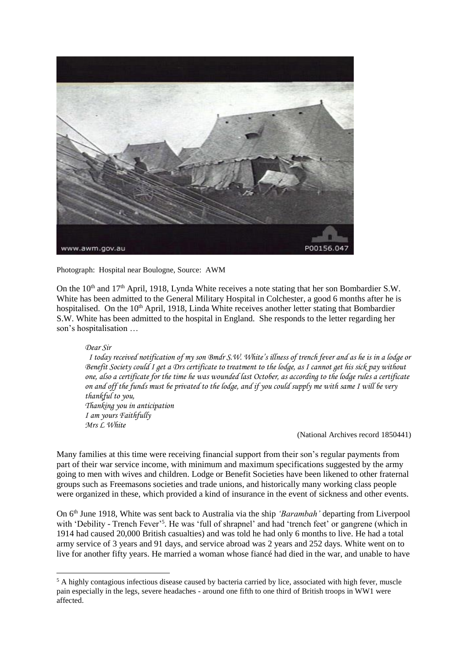

Photograph: Hospital near Boulogne, Source: AWM

On the 10<sup>th</sup> and 17<sup>th</sup> April, 1918, Lynda White receives a note stating that her son Bombardier S.W. White has been admitted to the General Military Hospital in Colchester, a good 6 months after he is hospitalised. On the 10<sup>th</sup> April, 1918, Linda White receives another letter stating that Bombardier S.W. White has been admitted to the hospital in England. She responds to the letter regarding her son's hospitalisation …

*Dear Sir*

<u>.</u>

 *I today received notification of my son Bmdr S.W. White's illness of trench fever and as he is in a lodge or*  Benefit Society could I get a Drs certificate to treatment to the lodge, as I cannot get his sick pay without *one, also a certificate for the time he was wounded last October, as according to the lodge rules a certificate on and off the funds must be privated to the lodge, and if you could supply me with same I will be very thankful to you, Thanking you in anticipation I am yours Faithfully Mrs L White*

(National Archives record 1850441)

Many families at this time were receiving financial support from their son's regular payments from part of their war service income, with minimum and maximum specifications suggested by the army going to men with wives and children. Lodge or Benefit Societies have been likened to other fraternal groups such as Freemasons societies and trade unions, and historically many working class people were organized in these, which provided a kind of insurance in the event of sickness and other events.

On 6 th June 1918, White was sent back to Australia via the ship *'Barambah'* departing from Liverpool with 'Debility - Trench Fever'<sup>5</sup>. He was 'full of shrapnel' and had 'trench feet' or gangrene (which in 1914 had caused 20,000 British casualties) and was told he had only 6 months to live. He had a total army service of 3 years and 91 days, and service abroad was 2 years and 252 days. White went on to live for another fifty years. He married a woman whose fiancé had died in the war, and unable to have

<sup>&</sup>lt;sup>5</sup> A highly contagious infectious disease caused by bacteria carried by lice, associated with high fever, muscle pain especially in the legs, severe headaches - around one fifth to one third of British troops in WW1 were affected.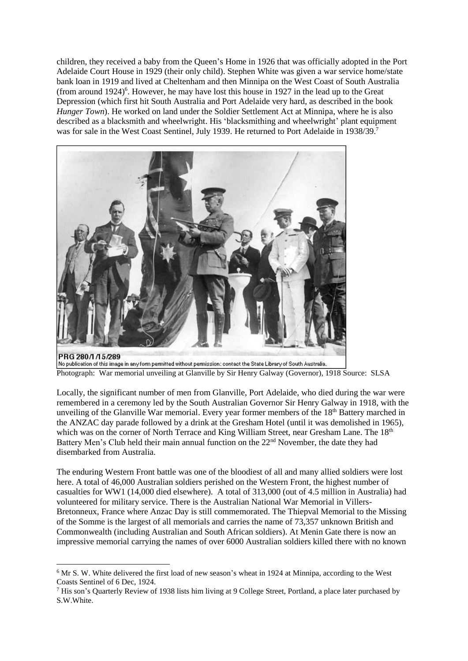children, they received a baby from the Queen's Home in 1926 that was officially adopted in the Port Adelaide Court House in 1929 (their only child). Stephen White was given a war service home/state bank loan in 1919 and lived at Cheltenham and then Minnipa on the West Coast of South Australia (from around 1924) 6 . However, he may have lost this house in 1927 in the lead up to the Great Depression (which first hit South Australia and Port Adelaide very hard, as described in the book *Hunger Town*). He worked on land under the Soldier Settlement Act at Minnipa, where he is also described as a blacksmith and wheelwright. His 'blacksmithing and wheelwright' plant equipment was for sale in the West Coast Sentinel, July 1939. He returned to Port Adelaide in 1938/39.7



No publication of this image in any form permitted without permission: contact the State Library of South Australia. Photograph: War memorial unveiling at Glanville by Sir Henry Galway (Governor), 1918 Source: SLSA

Locally, the significant number of men from Glanville, Port Adelaide, who died during the war were remembered in a ceremony led by the South Australian Governor Sir Henry Galway in 1918, with the unveiling of the Glanville War memorial. Every year former members of the 18<sup>th</sup> Battery marched in the ANZAC day parade followed by a drink at the Gresham Hotel (until it was demolished in 1965), which was on the corner of North Terrace and King William Street, near Gresham Lane. The 18<sup>th</sup> Battery Men's Club held their main annual function on the 22<sup>nd</sup> November, the date they had disembarked from Australia.

The enduring Western Front battle was one of the bloodiest of all and many allied soldiers were lost here. A total of 46,000 Australian soldiers perished on the Western Front, the highest number of casualties for WW1 (14,000 died elsewhere). A total of 313,000 (out of 4.5 million in Australia) had volunteered for military service. There is the Australian National War Memorial in Villers-Bretonneux, France where Anzac Day is still commemorated. The Thiepval Memorial to the Missing of the Somme is the largest of all memorials and carries the name of 73,357 unknown British and Commonwealth (including Australian and South African soldiers). At Menin Gate there is now an impressive memorial carrying the names of over 6000 Australian soldiers killed there with no known

1

<sup>6</sup> Mr S. W. White delivered the first load of new season's wheat in 1924 at Minnipa, according to the West Coasts Sentinel of 6 Dec, 1924.

<sup>&</sup>lt;sup>7</sup> His son's Quarterly Review of 1938 lists him living at 9 College Street, Portland, a place later purchased by S.W.White.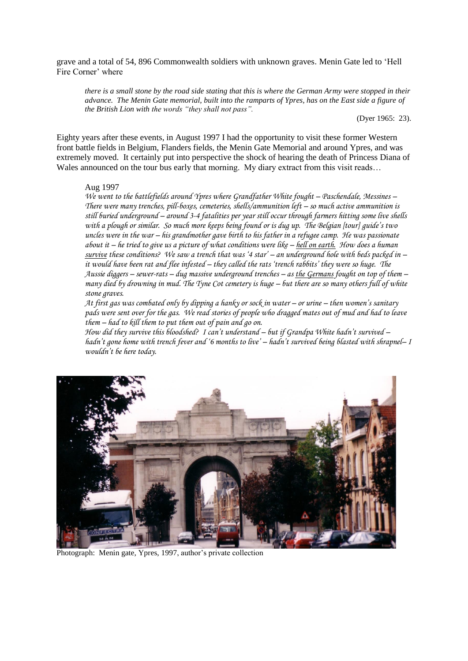grave and a total of 54, 896 Commonwealth soldiers with unknown graves. Menin Gate led to 'Hell Fire Corner' where

*there is a small stone by the road side stating that this is where the German Army were stopped in their advance. The Menin Gate memorial, built into the ramparts of Ypres, has on the East side a figure of the British Lion with the words "they shall not pass".*

(Dyer 1965: 23).

Eighty years after these events, in August 1997 I had the opportunity to visit these former Western front battle fields in Belgium, Flanders fields, the Menin Gate Memorial and around Ypres, and was extremely moved. It certainly put into perspective the shock of hearing the death of Princess Diana of Wales announced on the tour bus early that morning. My diary extract from this visit reads...

## Aug 1997

*We went to the battlefields around Ypres where Grandfather White fought – Paschendale, Messines – There were many trenches, pill-boxes, cemeteries, shells/ammunition left – so much active ammunition is still buried underground – around 3-4 fatalities per year still occur through farmers hitting some live shells with a plough or similar. So much more keeps being found or is dug up. The Belgian [tour] guide's two uncles were in the war – his grandmother gave birth to his father in a refugee camp. He was passionate about it – he tried to give us a picture of what conditions were like – hell on earth. How does a human survive these conditions? We saw a trench that was '4 star' – an underground hole with beds packed in – it would have been rat and flee infested – they called the rats 'trench rabbits' they were so huge. The Aussie diggers – sewer-rats – dug massive underground trenches – as the Germans fought on top of them – many died by drowning in mud. The Tyne Cot cemetery is huge – but there are so many others full of white stone graves.*

*At first gas was combated only by dipping a hanky or sock in water – or urine – then women's sanitary pads were sent over for the gas. We read stories of people who dragged mates out of mud and had to leave them – had to kill them to put them out of pain and go on.*

*How did they survive this bloodshed? I can't understand – but if Grandpa White hadn't survived – hadn't gone home with trench fever and '6 months to live' – hadn't survived being blasted with shrapnel– I wouldn't be here today.*



Photograph: Menin gate, Ypres, 1997, author's private collection